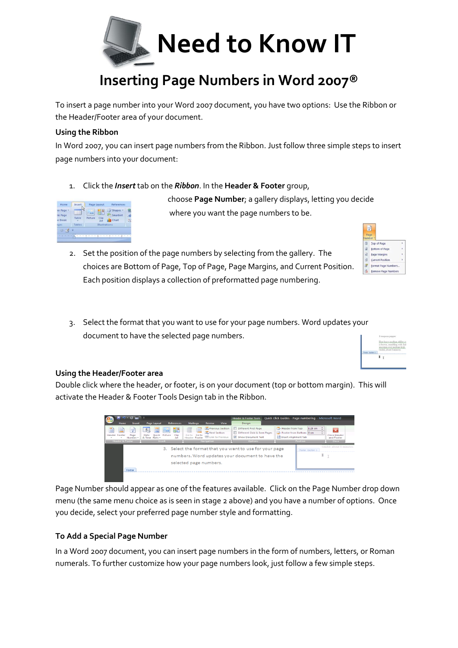

# **Inserting Page Numbers in Word 2007®**

To insert a page number into your Word 2007 document, you have two options: Use the Ribbon or the Header/Footer area of your document.

#### **Using the Ribbon**

In Word 2007, you can insert page numbers from the Ribbon. Just follow three simple steps to insert page numbers into your document:

1. Click the *Insert* tab on the *[Ribbon](http://www.dummies.com/how-to/content/how-to-insert-page-numbers-in-word-2007.html#glossary-Ribbon)*. In the **Header & Footer** group,



choose **Page Number**; a gallery displays, letting you decide where you want the page numbers to be.

- 2. Set the position of the page numbers by selecting from the gallery. The choices are Bottom of Page, Top of Page, Page Margins, and Current Position. Each position displays a collection of preformatted page numbering.
- 3. Select the format that you want to use for your page numbers. Word updates your document to have the selected page numbers.

|        | I teaspoon pepper<br>Heat heavy medium skillet ov<br>is brown, crumbling with forl-<br>saucepan over medium-high<br>tender, about \$ minutes |  |  |  |  |
|--------|----------------------------------------------------------------------------------------------------------------------------------------------|--|--|--|--|
| ton 1- |                                                                                                                                              |  |  |  |  |

**El** Page Margins

#### **Using the Header/Footer area**

Double click where the header, or footer, is on your document (top or bottom margin). This will activate the Header & Footer Tools Design tab in the Ribbon.

| ы<br><b>Home</b>                                             | $\sqrt{2}$ + $\sqrt{2}$ and $\sqrt{2}$<br>Insert | Page Layout                                                                | References                                     | <b>Mailings</b>                           | <b>Review</b><br>View                                                                   | <b>Header &amp; Footer Tools</b><br>Design                                                                 |                        | Quick Click Guides - Page numbering - Microsoft Word                    |                                       |
|--------------------------------------------------------------|--------------------------------------------------|----------------------------------------------------------------------------|------------------------------------------------|-------------------------------------------|-----------------------------------------------------------------------------------------|------------------------------------------------------------------------------------------------------------|------------------------|-------------------------------------------------------------------------|---------------------------------------|
| ≌<br>≝<br><b>Header Footer</b><br><b>Header &amp; Footer</b> | $\frac{1}{\pi}$<br>Page<br>Number +              | 国<br>5 <sub>5</sub><br>Ouick<br>Date<br>Parts +<br>& Time<br><b>Insert</b> | 남의<br>$\mathbb{R}^2$<br>Picture<br>Clip<br>Art | E<br>≣<br>Go to<br>Go to<br>Header Footer | Previous Section<br>Next Section<br><sup>导导</sup> Link to Previous<br><b>Navigation</b> | <b>FIL Different First Page</b><br>Different Odd & Even Pages<br>Show Document Text<br>Options             | <b>Mader from Top:</b> | 1.25 cm<br>Footer from Bottom: 0 cm<br>Insert Alignment Tab<br>Position | Close Header<br>and Footer<br>Close 7 |
|                                                              | Footer                                           |                                                                            |                                                |                                           | selected page numbers.                                                                  | 3. Select the format that you want to use for your page<br>numbers. Word updates your document to have the |                        | Footer -Section 1-                                                      | tender, about 8 minutes.<br>þ,        |

Page Number should appear as one of the features available. Click on the Page Number drop down menu (the same menu choice as is seen in stage 2 above) and you have a number of options. Once you decide, select your preferred page number style and formatting.

#### **To Add a Special Page Number**

In a Word 2007 document, you can insert page numbers in the form of numbers, letters, or Roman numerals. To further customize how your page numbers look, just follow a few simple steps.